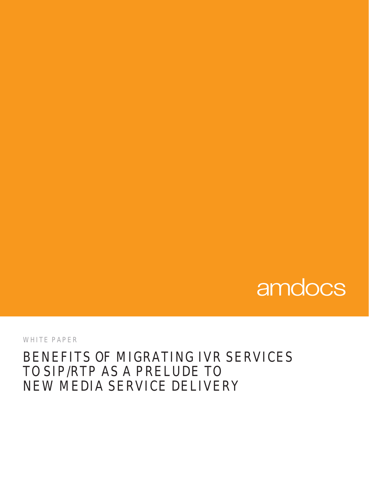# amdocs

WHITE PAPER

# BENEFITS OF MIGRATING IVR SERVICES TO SIP/RTP AS A PRELUDE TO NEW MEDIA SERVICE DELIVERY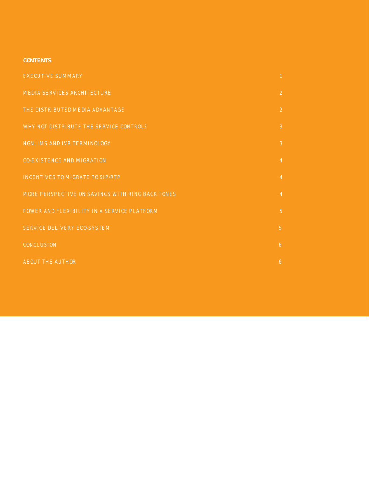# **CONTENTS**

| <b>EXECUTIVE SUMMARY</b>                         | $\mathbf{1}$   |
|--------------------------------------------------|----------------|
| <b>MEDIA SERVICES ARCHITECTURE</b>               | $\overline{2}$ |
| THE DISTRIBUTED MEDIA ADVANTAGE                  | $\overline{2}$ |
| WHY NOT DISTRIBUTE THE SERVICE CONTROL?          | $\mathbf{3}$   |
| NGN, IMS AND IVR TERMINOLOGY                     | $\mathbf{3}$   |
| <b>CO-EXISTENCE AND MIGRATION</b>                | $\overline{4}$ |
| <b>INCENTIVES TO MIGRATE TO SIP/RTP</b>          | $\overline{4}$ |
| MORE PERSPECTIVE ON SAVINGS WITH RING BACK TONES | $\overline{4}$ |
| POWER AND FLEXIBILITY IN A SERVICE PLATFORM      | 5 <sup>°</sup> |
| SERVICE DELIVERY ECO-SYSTEM                      | 5 <sup>1</sup> |
| CONCLUSION                                       | 6              |
| <b>ABOUT THE AUTHOR</b>                          | 6              |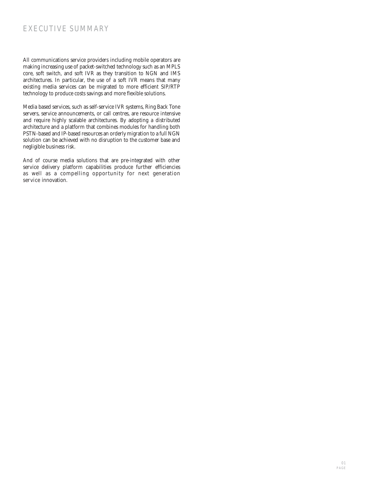# EXECUTIVE SUMMARY

All communications service providers including mobile operators are making increasing use of packet-switched technology such as an MPLS core, soft switch, and soft IVR as they transition to NGN and IMS architectures. In particular, the use of a soft IVR means that many existing media services can be migrated to more efficient SIP/RTP technology to produce costs savings and more flexible solutions.

Media based services, such as self-service IVR systems, Ring Back Tone servers, service announcements, or call centres, are resource intensive and require highly scalable architectures. By adopting a distributed architecture and a platform that combines modules for handling both PSTN-based and IP-based resources an orderly migration to a full NGN solution can be achieved with no disruption to the customer base and negligible business risk.

And of course media solutions that are pre-integrated with other service delivery platform capabilities produce further efficiencies as well as a compelling opportunity for next generation service innovation.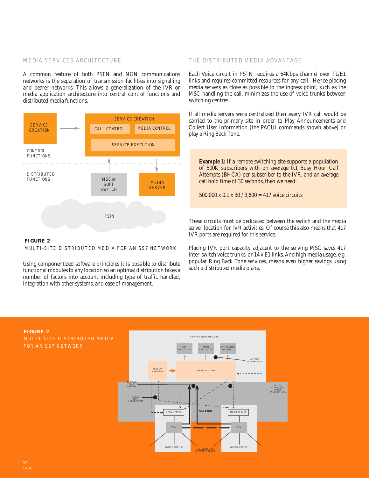# MEDIA SERVICES ARCHITECTURE

A common feature of both PSTN and NGN communications networks is the separation of transmission facilities into signalling and bearer networks. This allows a generalization of the IVR or media application architecture into central control functions and distributed media functions.



**FIGURE 2** MULTI-SITE DISTRIBUTED MEDIA FOR AN SS7 NETWORK

Using componentized software principles it is possible to distribute functional modules to any location so an optimal distribution takes a number of factors into account including type of traffic handled, integration with other systems, and ease of management.

### THE DISTRIBUTED MEDIA ADVANTAGE

Each Voice circuit in PSTN requires a 64Kbps channel over T1/E1 links and requires committed resources for any call. Hence placing media servers as close as possible to the ingress point, such as the MSC handling the call, minimizes the use of voice trunks between switching centres.

If all media servers were centralized then every IVR call would be carried to the primary site in order to Play Announcements and Collect User Information (the PACUI commands shown above) or play a Ring Back Tone.

**Example 1:** If a remote switching site supports a population of 500K subscribers with on average 0.1 Busy Hour Call Attempts (BHCA) per subscriber to the IVR, and an average call hold time of 30 seconds, then we need:

500,000 x 0.1 x 30 / 3,600 = 417 voice circuits

These circuits must be dedicated between the switch and the media server location for IVR activities. Of course this also means that 417 IVR ports are required for this service.

Placing IVR port capacity adjacent to the serving MSC saves 417 inter-switch voice trunks, or 14 x E1 links. And high media usage, e.g. popular Ring Back Tone services, means even higher savings using such a distributed media plane.



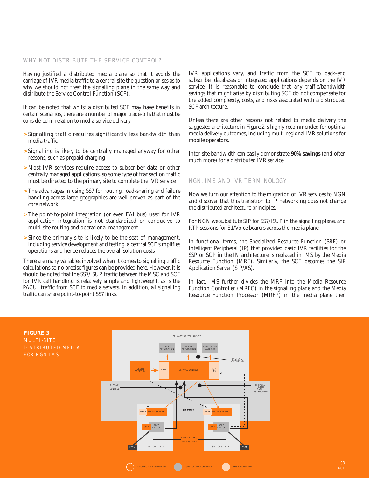#### WHY NOT DISTRIBUTE THE SERVICE CONTROL?

Having justified a distributed media plane so that it avoids the carriage of IVR media traffic to a central site the question arises as to why we should not treat the signalling plane in the same way and distribute the Service Control Function (SCF).

It can be noted that whilst a distributed SCF may have benefits in certain scenarios, there are a number of major trade-offs that must be considered in relation to media service delivery.

- **>** Signalling traffic requires significantly less bandwidth than media traffic
- **>** Signalling is likely to be centrally managed anyway for other reasons, such as prepaid charging
- **>** Most IVR services require access to subscriber data or other centrally managed applications, so some type of transaction traffic must be directed to the primary site to complete the IVR service
- **>** The advantages in using SS7 for routing, load-sharing and failure handling across large geographies are well proven as part of the core network
- **>** The point-to-point integration (or even EAI bus) used for IVR application integration is not standardized or conducive to multi-site routing and operational management
- **>** Since the primary site is likely to be the seat of management, including service development and testing, a central SCF simplifies operations and hence reduces the overall solution costs

There are many variables involved when it comes to signalling traffic calculations so no precise figures can be provided here. However, it is should be noted that the SS7/ISUP traffic between the MSC and SCF for IVR call handling is relatively simple and lightweight, as is the PACUI traffic from SCF to media servers. In addition, all signalling traffic can share point-to-point SS7 links.

IVR applications vary, and traffic from the SCF to back-end subscriber databases or integrated applications depends on the IVR service. It is reasonable to conclude that any traffic/bandwidth savings that might arise by distributing SCF do not compensate for the added complexity, costs, and risks associated with a distributed SCF architecture.

Unless there are other reasons not related to media delivery the suggested architecture in *Figure 2* is highly recommended for optimal media delivery outcomes, including multi-regional IVR solutions for mobile operators.

Inter-site bandwidth can easily demonstrate **90% savings** (and often much more) for a distributed IVR service.

# NGN, IMS AND IVR TERMINOLOGY

Now we turn our attention to the migration of IVR services to NGN and discover that this transition to IP networking does not change the distributed architecture principles.

For NGN we substitute SIP for SS7/ISUP in the signalling plane, and RTP sessions for E1/Voice bearers across the media plane.

In functional terms, the Specialized Resource Function (SRF) or Intelligent Peripheral (IP) that provided basic IVR facilities for the SSP or SCP in the IN architecture is replaced in IMS by the Media Resource Function (MRF). Similarly, the SCF becomes the SIP Application Server (SIP/AS).

In fact, IMS further divides the MRF into the Media Resource Function Controller (MRFC) in the signalling plane and the Media Resource Function Processor (MRFP) in the media plane then



**FIGURE 3** MULTI-SITE DISTRIBUTED MEDIA FOR NGN IMS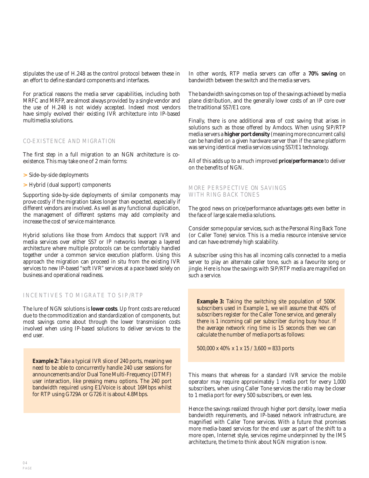stipulates the use of H.248 as the control protocol between these in an effort to define standard components and interfaces.

For practical reasons the media server capabilities, including both MRFC and MRFP, are almost always provided by a single vendor and the use of H.248 is not widely accepted. Indeed most vendors have simply evolved their existing IVR architecture into IP-based multimedia solutions.

# CO-EXISTENCE AND MIGRATION

The first step in a full migration to an NGN architecture is coexistence. This may take one of 2 main forms:

- **>** Side-by-side deployments
- **>** Hybrid (dual support) components

Supporting side-by-side deployments of similar components may prove costly if the migration takes longer than expected, especially if different vendors are involved. As well as any functional duplication, the management of different systems may add complexity and increase the cost of service maintenance.

Hybrid solutions like those from Amdocs that support IVR and media services over either SS7 or IP networks leverage a layered architecture where multiple protocols can be comfortably handled together under a common service execution platform. Using this approach the migration can proceed in situ from the existing IVR services to new IP-based "soft IVR" services at a pace based solely on business and operational readiness.

# INCENTIVES TO MIGRATE TO SIP/RTP

The lure of NGN solutions is **lower costs**. Up front costs are reduced due to the commoditization and standardization of components, but most savings come about through the lower transmission costs involved when using IP-based solutions to deliver services to the end user.

**Example 2:** Take a typical IVR slice of 240 ports, meaning we need to be able to concurrently handle 240 user sessions for announcements and/or Dual Tone Multi-Frequency (DTMF) user interaction, like pressing menu options. The 240 port bandwidth required using E1/Voice is about 16Mbps whilst for RTP using G729A or G726 it is about 4.8Mbps.

In other words, RTP media servers can offer a **70% saving** on bandwidth between the switch and the media servers.

The bandwidth saving comes on top of the savings achieved by media plane distribution, and the generally lower costs of an IP core over the traditional SS7/E1 core.

Finally, there is one additional area of cost saving that arises in solutions such as those offered by Amdocs. When using SIP/RTP media servers a **higher port density** (meaning more concurrent calls) can be handled on a given hardware server than if the same platform was serving identical media services using SS7/E1 technology.

All of this adds up to a much improved **price/performance** to deliver on the benefits of NGN.

## MORE PERSPECTIVE ON SAVINGS WITH RING BACK TONES

The good news on price/performance advantages gets even better in the face of large scale media solutions.

Consider some popular services, such as the Personal Ring Back Tone (or Caller Tone) service. This is a media resource intensive service and can have extremely high scalability.

A subscriber using this has all incoming calls connected to a media server to play an alternate caller tone, such as a favourite song or jingle. Here is how the savings with SIP/RTP media are magnified on such a service.

**Example 3:** Taking the switching site population of 500K subscribers used in Example 1, we will assume that 40% of subscribers register for the Caller Tone service, and generally there is 1 incoming call per subscriber during busy hour. If the average network ring time is 15 seconds then we can calculate the number of media ports as follows:

500,000 x 40% x 1 x 15 / 3,600 = 833 ports

This means that whereas for a standard IVR service the mobile operator may require approximately 1 media port for every 1,000 subscribers, when using Caller Tone services the ratio may be closer to 1 media port for every 500 subscribers, or even less.

Hence the savings realized through higher port density, lower media bandwidth requirements, and IP-based network infrastructure, are magnified with Caller Tone services. With a future that promises more media-based services for the end user as part of the shift to a more open, Internet style, services regime underpinned by the IMS architecture, the time to think about NGN migration is now.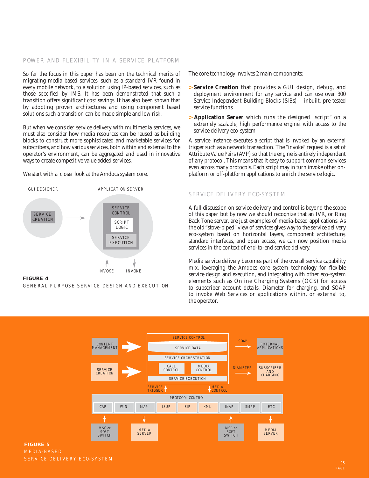### POWER AND FLEXIBILITY IN A SERVICE PLATFORM

So far the focus in this paper has been on the technical merits of migrating media based services, such as a standard IVR found in every mobile network, to a solution using IP-based services, such as those specified by IMS. It has been demonstrated that such a transition offers significant cost savings. It has also been shown that by adopting proven architectures and using component based solutions such a transition can be made simple and low risk.

But when we consider service delivery with multimedia services, we must also consider how media resources can be reused as building blocks to construct more sophisticated and marketable services for subscribers, and how various services, both within and external to the operator's environment, can be aggregated and used in innovative ways to create competitive value added services.

We start with a closer look at the Amdocs system core.





The core technology involves 2 main components:

- **> Service Creation** that provides a GUI design, debug, and deployment environment for any service and can use over 300 Service Independent Building Blocks (SIBs) – inbuilt, pre-tested service functions
- **> Application Server** which runs the designed "script" on a extremely scalable, high performance engine, with access to the service delivery eco-system

A service instance executes a script that is invoked by an external trigger such as a network transaction. The "invoke" request is a set of Attribute Value Pairs (AVP) so that the engine is entirely independent of any protocol. This means that it easy to support common services even across many protocols. Each script may in turn invoke other onplatform or off-platform applications to enrich the service logic.

# SERVICE DELIVERY ECO-SYSTEM

A full discussion on service delivery and control is beyond the scope of this paper but by now we should recognize that an IVR, or Ring Back Tone server, are just examples of media-based applications. As the old "stove-piped" view of services gives way to the service delivery eco-system based on horizontal layers, component architecture, standard interfaces, and open access, we can now position media services in the context of end-to-end service delivery.

Media service delivery becomes part of the overall service capability mix, leveraging the Amdocs core system technology for flexible service design and execution, and integrating with other eco-system elements such as Online Charging Systems (OCS) for access to subscriber account details, Diameter for charging, and SOAP to invoke Web Services or applications within, or external to, the operator.



# **FIGURE 5** MEDIA-BASED SERVICE DELIVERY ECO-SYSTEM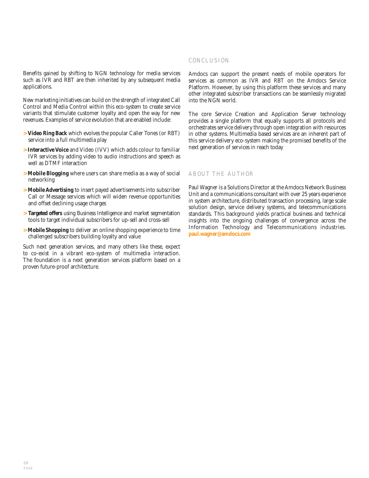Benefits gained by shifting to NGN technology for media services such as IVR and RBT are then inherited by any subsequent media applications.

New marketing initiatives can build on the strength of integrated Call Control and Media Control within this eco-system to create service variants that stimulate customer loyalty and open the way for new revenues. Examples of service evolution that are enabled include:

- **> Video Ring Back** which evolves the popular Caller Tones (or RBT) service into a full multimedia play
- **> Interactive Voice** and Video (IVV) which adds colour to familiar IVR services by adding video to audio instructions and speech as well as DTMF interaction
- **> Mobile Blogging** where users can share media as a way of social networking
- **> Mobile Advertising** to insert payed advertisements into subscriber Call or Message services which will widen revenue opportunities and offset declining usage charges
- **> Targeted offers** using Business Intelligence and market segmentation tools to target individual subscribers for up-sell and cross-sell
- **> Mobile Shopping** to deliver an online shopping experience to time challenged subscribers building loyalty and value

Such next generation services, and many others like these, expect to co-exist in a vibrant eco-system of multimedia interaction. The foundation is a next generation services platform based on a proven future-proof architecture.

# CONCLUSION

Amdocs can support the present needs of mobile operators for services as common as IVR and RBT on the Amdocs Service Platform. However, by using this platform these services and many other integrated subscriber transactions can be seamlessly migrated into the NGN world.

The core Service Creation and Application Server technology provides a single platform that equally supports all protocols and orchestrates service delivery through open integration with resources in other systems. Multimedia based services are an inherent part of this service delivery eco-system making the promised benefits of the next generation of services in reach today

# ABOUT THE AUTHOR

Paul Wagner is a Solutions Director at the Amdocs Network Business Unit and a communications consultant with over 25 years experience in system architecture, distributed transaction processing, large scale solution design, service delivery systems, and telecommunications standards. This background yields practical business and technical insights into the ongoing challenges of convergence across the Information Technology and Telecommunications industries. **paul.wagner@amdocs.com**